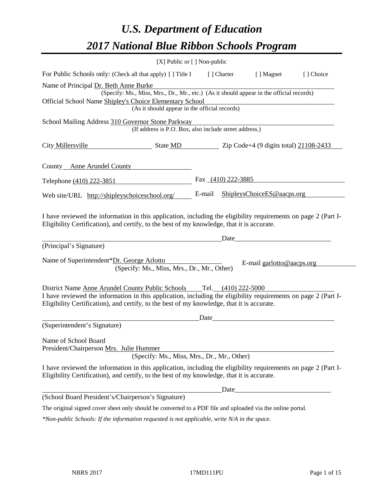# *U.S. Department of Education 2017 National Blue Ribbon Schools Program*

|                                                                                                                                                                                                                                                                                      | [X] Public or [] Non-public |                      |                            |           |
|--------------------------------------------------------------------------------------------------------------------------------------------------------------------------------------------------------------------------------------------------------------------------------------|-----------------------------|----------------------|----------------------------|-----------|
| For Public Schools only: (Check all that apply) [] Title I                                                                                                                                                                                                                           |                             | [ ] Charter          | [ ] Magnet                 | [] Choice |
| Name of Principal Dr. Beth Anne Burke<br>(Specify: Ms., Miss, Mrs., Dr., Mr., etc.) (As it should appear in the official records)                                                                                                                                                    |                             |                      |                            |           |
| Official School Name Shipley's Choice Elementary School<br>(As it should appear in the official records)                                                                                                                                                                             |                             |                      |                            |           |
| School Mailing Address 310 Governor Stone Parkway<br>(If address is P.O. Box, also include street address.)                                                                                                                                                                          |                             |                      |                            |           |
| City Millersville<br>$\frac{\text{State MD}}{\text{2ip Code+4 (9 digits total)} \cdot \frac{21108-2433}{21108-2433}}$                                                                                                                                                                |                             |                      |                            |           |
| County Anne Arundel County                                                                                                                                                                                                                                                           |                             |                      |                            |           |
| Telephone (410) 222-3851                                                                                                                                                                                                                                                             |                             | Fax $(410)$ 222-3885 |                            |           |
| Web site/URL http://shipleyschoiceschool.org/                                                                                                                                                                                                                                        | E-mail                      |                      | ShipleysChoiceES@aacps.org |           |
| I have reviewed the information in this application, including the eligibility requirements on page 2 (Part I-<br>Eligibility Certification), and certify, to the best of my knowledge, that it is accurate.                                                                         |                             | Date                 |                            |           |
| (Principal's Signature)                                                                                                                                                                                                                                                              |                             |                      |                            |           |
| Name of Superintendent*Dr. George Arlotto<br>(Specify: Ms., Miss, Mrs., Dr., Mr., Other)                                                                                                                                                                                             |                             |                      | E-mail garlotto@aacps.org  |           |
| District Name Anne Arundel County Public Schools Tel. (410) 222-5000<br>I have reviewed the information in this application, including the eligibility requirements on page 2 (Part I-<br>Eligibility Certification), and certify, to the best of my knowledge, that it is accurate. |                             |                      |                            |           |
|                                                                                                                                                                                                                                                                                      | Date                        |                      |                            |           |
| (Superintendent's Signature)                                                                                                                                                                                                                                                         |                             |                      |                            |           |
| Name of School Board<br>President/Chairperson Mrs. Julie Hummer<br>(Specify: Ms., Miss, Mrs., Dr., Mr., Other)                                                                                                                                                                       |                             |                      |                            |           |
| I have reviewed the information in this application, including the eligibility requirements on page 2 (Part I-<br>Eligibility Certification), and certify, to the best of my knowledge, that it is accurate.                                                                         |                             |                      |                            |           |
|                                                                                                                                                                                                                                                                                      |                             | Date_                |                            |           |
| (School Board President's/Chairperson's Signature)                                                                                                                                                                                                                                   |                             |                      |                            |           |
| The original signed cover sheet only should be converted to a PDF file and uploaded via the online portal.                                                                                                                                                                           |                             |                      |                            |           |
|                                                                                                                                                                                                                                                                                      |                             |                      |                            |           |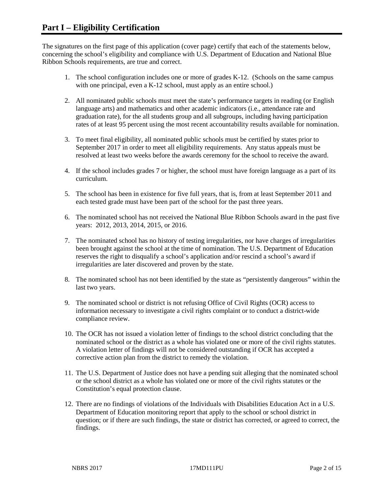The signatures on the first page of this application (cover page) certify that each of the statements below, concerning the school's eligibility and compliance with U.S. Department of Education and National Blue Ribbon Schools requirements, are true and correct.

- 1. The school configuration includes one or more of grades K-12. (Schools on the same campus with one principal, even a K-12 school, must apply as an entire school.)
- 2. All nominated public schools must meet the state's performance targets in reading (or English language arts) and mathematics and other academic indicators (i.e., attendance rate and graduation rate), for the all students group and all subgroups, including having participation rates of at least 95 percent using the most recent accountability results available for nomination.
- 3. To meet final eligibility, all nominated public schools must be certified by states prior to September 2017 in order to meet all eligibility requirements. Any status appeals must be resolved at least two weeks before the awards ceremony for the school to receive the award.
- 4. If the school includes grades 7 or higher, the school must have foreign language as a part of its curriculum.
- 5. The school has been in existence for five full years, that is, from at least September 2011 and each tested grade must have been part of the school for the past three years.
- 6. The nominated school has not received the National Blue Ribbon Schools award in the past five years: 2012, 2013, 2014, 2015, or 2016.
- 7. The nominated school has no history of testing irregularities, nor have charges of irregularities been brought against the school at the time of nomination. The U.S. Department of Education reserves the right to disqualify a school's application and/or rescind a school's award if irregularities are later discovered and proven by the state.
- 8. The nominated school has not been identified by the state as "persistently dangerous" within the last two years.
- 9. The nominated school or district is not refusing Office of Civil Rights (OCR) access to information necessary to investigate a civil rights complaint or to conduct a district-wide compliance review.
- 10. The OCR has not issued a violation letter of findings to the school district concluding that the nominated school or the district as a whole has violated one or more of the civil rights statutes. A violation letter of findings will not be considered outstanding if OCR has accepted a corrective action plan from the district to remedy the violation.
- 11. The U.S. Department of Justice does not have a pending suit alleging that the nominated school or the school district as a whole has violated one or more of the civil rights statutes or the Constitution's equal protection clause.
- 12. There are no findings of violations of the Individuals with Disabilities Education Act in a U.S. Department of Education monitoring report that apply to the school or school district in question; or if there are such findings, the state or district has corrected, or agreed to correct, the findings.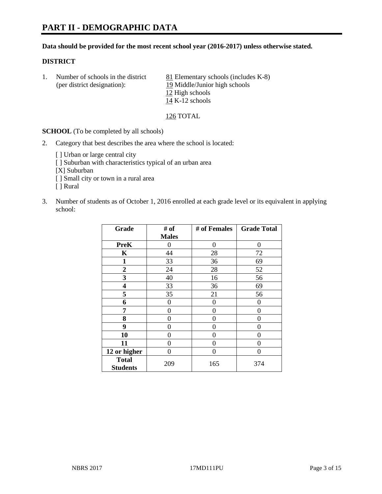# **PART II - DEMOGRAPHIC DATA**

#### **Data should be provided for the most recent school year (2016-2017) unless otherwise stated.**

#### **DISTRICT**

1. Number of schools in the district  $81$  Elementary schools (includes K-8) (per district designation): 19 Middle/Junior high schools 12 High schools 14 K-12 schools

126 TOTAL

**SCHOOL** (To be completed by all schools)

- 2. Category that best describes the area where the school is located:
	- [] Urban or large central city [ ] Suburban with characteristics typical of an urban area [X] Suburban [ ] Small city or town in a rural area [ ] Rural
- 3. Number of students as of October 1, 2016 enrolled at each grade level or its equivalent in applying school:

| Grade                           | # of         | # of Females | <b>Grade Total</b> |
|---------------------------------|--------------|--------------|--------------------|
|                                 | <b>Males</b> |              |                    |
| <b>PreK</b>                     | 0            | 0            | 0                  |
| K                               | 44           | 28           | 72                 |
| $\mathbf{1}$                    | 33           | 36           | 69                 |
| $\overline{2}$                  | 24           | 28           | 52                 |
| 3                               | 40           | 16           | 56                 |
| 4                               | 33           | 36           | 69                 |
| 5                               | 35           | 21           | 56                 |
| 6                               | 0            | 0            | 0                  |
| 7                               | 0            | $\theta$     | 0                  |
| 8                               | 0            | $\theta$     | 0                  |
| 9                               | 0            | 0            | 0                  |
| 10                              | $\theta$     | 0            | 0                  |
| 11                              | 0            | 0            | $\Omega$           |
| 12 or higher                    | 0            | 0            | $\theta$           |
| <b>Total</b><br><b>Students</b> | 209          | 165          | 374                |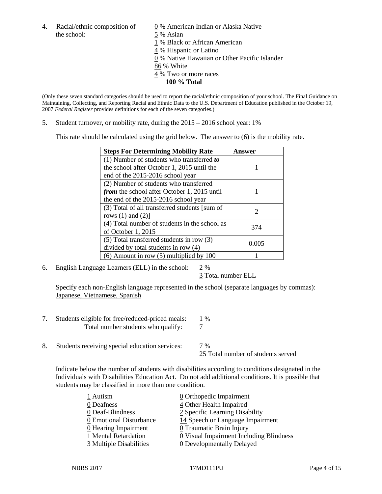4. Racial/ethnic composition of  $\qquad 0 \%$  American Indian or Alaska Native the school: 5 % Asian

 % Black or African American % Hispanic or Latino % Native Hawaiian or Other Pacific Islander 86 % White % Two or more races **100 % Total**

(Only these seven standard categories should be used to report the racial/ethnic composition of your school. The Final Guidance on Maintaining, Collecting, and Reporting Racial and Ethnic Data to the U.S. Department of Education published in the October 19, 2007 *Federal Register* provides definitions for each of the seven categories.)

5. Student turnover, or mobility rate, during the 2015 – 2016 school year: 1%

This rate should be calculated using the grid below. The answer to (6) is the mobility rate.

| <b>Steps For Determining Mobility Rate</b>         | Answer |  |
|----------------------------------------------------|--------|--|
| (1) Number of students who transferred to          |        |  |
| the school after October 1, 2015 until the         |        |  |
| end of the 2015-2016 school year                   |        |  |
| (2) Number of students who transferred             |        |  |
| <i>from</i> the school after October 1, 2015 until |        |  |
| the end of the 2015-2016 school year               |        |  |
| (3) Total of all transferred students [sum of      | 2      |  |
| rows $(1)$ and $(2)$ ]                             |        |  |
| (4) Total number of students in the school as      | 374    |  |
| of October 1, 2015                                 |        |  |
| (5) Total transferred students in row (3)          | 0.005  |  |
| divided by total students in row (4)               |        |  |
| $(6)$ Amount in row $(5)$ multiplied by 100        |        |  |

6. English Language Learners (ELL) in the school:  $2\%$ 

3 Total number ELL

Specify each non-English language represented in the school (separate languages by commas): Japanese, Vietnamese, Spanish

- 7. Students eligible for free/reduced-priced meals:  $\frac{1\%}{7}$ <br>Total number students who qualify:  $\frac{1}{7}$ Total number students who qualify:
- 8. Students receiving special education services:  $\frac{7}{8}$ 25 Total number of students served

Indicate below the number of students with disabilities according to conditions designated in the Individuals with Disabilities Education Act. Do not add additional conditions. It is possible that students may be classified in more than one condition.

| 1 Autism                | $\underline{0}$ Orthopedic Impairment     |
|-------------------------|-------------------------------------------|
| 0 Deafness              | 4 Other Health Impaired                   |
| 0 Deaf-Blindness        | 2 Specific Learning Disability            |
| 0 Emotional Disturbance | 14 Speech or Language Impairment          |
| 0 Hearing Impairment    | 0 Traumatic Brain Injury                  |
| 1 Mental Retardation    | $Q$ Visual Impairment Including Blindness |
| 3 Multiple Disabilities | <b>0</b> Developmentally Delayed          |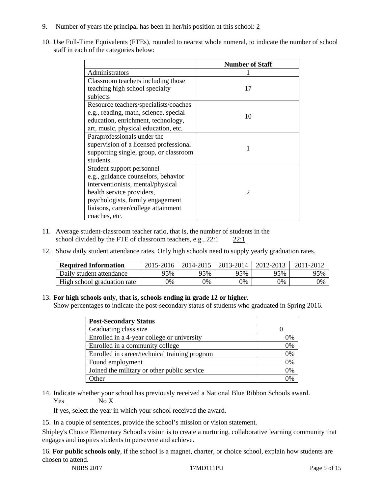- 9. Number of years the principal has been in her/his position at this school: 2
- 10. Use Full-Time Equivalents (FTEs), rounded to nearest whole numeral, to indicate the number of school staff in each of the categories below:

|                                        | <b>Number of Staff</b> |
|----------------------------------------|------------------------|
| Administrators                         |                        |
| Classroom teachers including those     |                        |
| teaching high school specialty         | 17                     |
| subjects                               |                        |
| Resource teachers/specialists/coaches  |                        |
| e.g., reading, math, science, special  | 10                     |
| education, enrichment, technology,     |                        |
| art, music, physical education, etc.   |                        |
| Paraprofessionals under the            |                        |
| supervision of a licensed professional |                        |
| supporting single, group, or classroom |                        |
| students.                              |                        |
| Student support personnel              |                        |
| e.g., guidance counselors, behavior    |                        |
| interventionists, mental/physical      |                        |
| health service providers,              | $\mathfrak{D}$         |
| psychologists, family engagement       |                        |
| liaisons, career/college attainment    |                        |
| coaches, etc.                          |                        |

- 11. Average student-classroom teacher ratio, that is, the number of students in the school divided by the FTE of classroom teachers, e.g., 22:1 22:1
- 12. Show daily student attendance rates. Only high schools need to supply yearly graduation rates.

| <b>Required Information</b> | 2015-2016 | 2014-2015 | 2013-2014 | 2012-2013 |     |
|-----------------------------|-----------|-----------|-----------|-----------|-----|
| Daily student attendance    | 95%       | 95%       | 95%       | 95%       | 95% |
| High school graduation rate | 0%        | 0%        | 0%        | 9%        | 0%  |

## 13. **For high schools only, that is, schools ending in grade 12 or higher.**

Show percentages to indicate the post-secondary status of students who graduated in Spring 2016.

| <b>Post-Secondary Status</b>                  |    |
|-----------------------------------------------|----|
| Graduating class size                         |    |
| Enrolled in a 4-year college or university    | 0% |
| Enrolled in a community college               | 0% |
| Enrolled in career/technical training program | 0% |
| Found employment                              | 0% |
| Joined the military or other public service   | 0% |
| )ther                                         |    |

14. Indicate whether your school has previously received a National Blue Ribbon Schools award. Yes No X

If yes, select the year in which your school received the award.

15. In a couple of sentences, provide the school's mission or vision statement.

Shipley's Choice Elementary School's vision is to create a nurturing, collaborative learning community that engages and inspires students to persevere and achieve.

16. **For public schools only**, if the school is a magnet, charter, or choice school, explain how students are chosen to attend.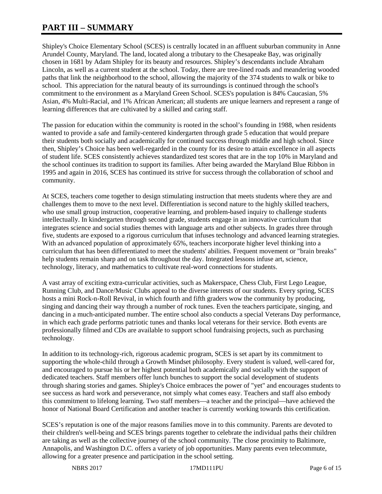# **PART III – SUMMARY**

Shipley's Choice Elementary School (SCES) is centrally located in an affluent suburban community in Anne Arundel County, Maryland. The land, located along a tributary to the Chesapeake Bay, was originally chosen in 1681 by Adam Shipley for its beauty and resources. Shipley's descendants include Abraham Lincoln, as well as a current student at the school. Today, there are tree-lined roads and meandering wooded paths that link the neighborhood to the school, allowing the majority of the 374 students to walk or bike to school. This appreciation for the natural beauty of its surroundings is continued through the school's commitment to the environment as a Maryland Green School. SCES's population is 84% Caucasian, 5% Asian, 4% Multi-Racial, and 1% African American; all students are unique learners and represent a range of learning differences that are cultivated by a skilled and caring staff.

The passion for education within the community is rooted in the school's founding in 1988, when residents wanted to provide a safe and family-centered kindergarten through grade 5 education that would prepare their students both socially and academically for continued success through middle and high school. Since then, Shipley's Choice has been well-regarded in the county for its desire to attain excellence in all aspects of student life. SCES consistently achieves standardized test scores that are in the top 10% in Maryland and the school continues its tradition to support its families. After being awarded the Maryland Blue Ribbon in 1995 and again in 2016, SCES has continued its strive for success through the collaboration of school and community.

At SCES, teachers come together to design stimulating instruction that meets students where they are and challenges them to move to the next level. Differentiation is second nature to the highly skilled teachers, who use small group instruction, cooperative learning, and problem-based inquiry to challenge students intellectually. In kindergarten through second grade, students engage in an innovative curriculum that integrates science and social studies themes with language arts and other subjects. In grades three through five, students are exposed to a rigorous curriculum that infuses technology and advanced learning strategies. With an advanced population of approximately 65%, teachers incorporate higher level thinking into a curriculum that has been differentiated to meet the students' abilities. Frequent movement or "brain breaks" help students remain sharp and on task throughout the day. Integrated lessons infuse art, science, technology, literacy, and mathematics to cultivate real-word connections for students.

A vast array of exciting extra-curricular activities, such as Makerspace, Chess Club, First Lego League, Running Club, and Dance/Music Clubs appeal to the diverse interests of our students. Every spring, SCES hosts a mini Rock-n-Roll Revival, in which fourth and fifth graders wow the community by producing, singing and dancing their way through a number of rock tunes. Even the teachers participate, singing, and dancing in a much-anticipated number. The entire school also conducts a special Veterans Day performance, in which each grade performs patriotic tunes and thanks local veterans for their service. Both events are professionally filmed and CDs are available to support school fundraising projects, such as purchasing technology.

In addition to its technology-rich, rigorous academic program, SCES is set apart by its commitment to supporting the whole-child through a Growth Mindset philosophy. Every student is valued, well-cared for, and encouraged to pursue his or her highest potential both academically and socially with the support of dedicated teachers. Staff members offer lunch bunches to support the social development of students through sharing stories and games. Shipley's Choice embraces the power of "yet" and encourages students to see success as hard work and perseverance, not simply what comes easy. Teachers and staff also embody this commitment to lifelong learning. Two staff members—a teacher and the principal—have achieved the honor of National Board Certification and another teacher is currently working towards this certification.

SCES's reputation is one of the major reasons families move in to this community. Parents are devoted to their children's well-being and SCES brings parents together to celebrate the individual paths their children are taking as well as the collective journey of the school community. The close proximity to Baltimore, Annapolis, and Washington D.C. offers a variety of job opportunities. Many parents even telecommute, allowing for a greater presence and participation in the school setting.

NBRS 2017 17MD111PU Page 6 of 15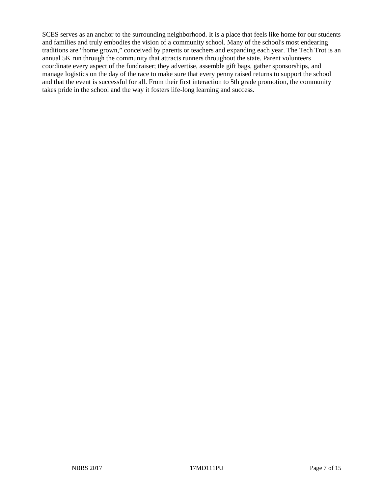SCES serves as an anchor to the surrounding neighborhood. It is a place that feels like home for our students and families and truly embodies the vision of a community school. Many of the school's most endearing traditions are "home grown," conceived by parents or teachers and expanding each year. The Tech Trot is an annual 5K run through the community that attracts runners throughout the state. Parent volunteers coordinate every aspect of the fundraiser; they advertise, assemble gift bags, gather sponsorships, and manage logistics on the day of the race to make sure that every penny raised returns to support the school and that the event is successful for all. From their first interaction to 5th grade promotion, the community takes pride in the school and the way it fosters life-long learning and success.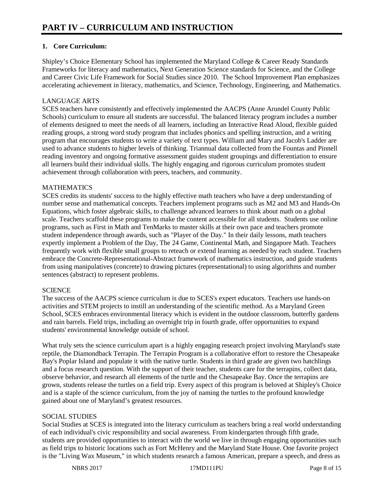# **1. Core Curriculum:**

Shipley's Choice Elementary School has implemented the Maryland College & Career Ready Standards Frameworks for literacy and mathematics, Next Generation Science standards for Science, and the College and Career Civic Life Framework for Social Studies since 2010. The School Improvement Plan emphasizes accelerating achievement in literacy, mathematics, and Science, Technology, Engineering, and Mathematics.

# LANGUAGE ARTS

SCES teachers have consistently and effectively implemented the AACPS (Anne Arundel County Public Schools) curriculum to ensure all students are successful. The balanced literacy program includes a number of elements designed to meet the needs of all learners, including an Interactive Read Aloud, flexible guided reading groups, a strong word study program that includes phonics and spelling instruction, and a writing program that encourages students to write a variety of text types. William and Mary and Jacob's Ladder are used to advance students to higher levels of thinking. Triannual data collected from the Fountas and Pinnell reading inventory and ongoing formative assessment guides student groupings and differentiation to ensure all learners build their individual skills. The highly engaging and rigorous curriculum promotes student achievement through collaboration with peers, teachers, and community.

## MATHEMATICS

SCES credits its students' success to the highly effective math teachers who have a deep understanding of number sense and mathematical concepts. Teachers implement programs such as M2 and M3 and Hands-On Equations, which foster algebraic skills, to challenge advanced learners to think about math on a global scale. Teachers scaffold these programs to make the content accessible for all students. Students use online programs, such as First in Math and TenMarks to master skills at their own pace and teachers promote student independence through awards, such as "Player of the Day." In their daily lessons, math teachers expertly implement a Problem of the Day, The 24 Game, Continental Math, and Singapore Math. Teachers frequently work with flexible small groups to reteach or extend learning as needed by each student. Teachers embrace the Concrete-Representational-Abstract framework of mathematics instruction, and guide students from using manipulatives (concrete) to drawing pictures (representational) to using algorithms and number sentences (abstract) to represent problems.

## **SCIENCE**

The success of the AACPS science curriculum is due to SCES's expert educators. Teachers use hands-on activities and STEM projects to instill an understanding of the scientific method. As a Maryland Green School, SCES embraces environmental literacy which is evident in the outdoor classroom, butterfly gardens and rain barrels. Field trips, including an overnight trip in fourth grade, offer opportunities to expand students' environmental knowledge outside of school.

What truly sets the science curriculum apart is a highly engaging research project involving Maryland's state reptile, the Diamondback Terrapin. The Terrapin Program is a collaborative effort to restore the Chesapeake Bay's Poplar Island and populate it with the native turtle. Students in third grade are given two hatchlings and a focus research question. With the support of their teacher, students care for the terrapins, collect data, observe behavior, and research all elements of the turtle and the Chesapeake Bay. Once the terrapins are grown, students release the turtles on a field trip. Every aspect of this program is beloved at Shipley's Choice and is a staple of the science curriculum, from the joy of naming the turtles to the profound knowledge gained about one of Maryland's greatest resources.

# SOCIAL STUDIES

Social Studies at SCES is integrated into the literacy curriculum as teachers bring a real world understanding of each individual's civic responsibility and social awareness. From kindergarten through fifth grade, students are provided opportunities to interact with the world we live in through engaging opportunities such as field trips to historic locations such as Fort McHenry and the Maryland State House. One favorite project is the "Living Wax Museum," in which students research a famous American, prepare a speech, and dress as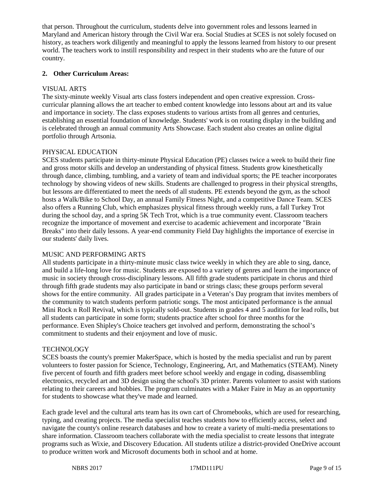that person. Throughout the curriculum, students delve into government roles and lessons learned in Maryland and American history through the Civil War era. Social Studies at SCES is not solely focused on history, as teachers work diligently and meaningful to apply the lessons learned from history to our present world. The teachers work to instill responsibility and respect in their students who are the future of our country.

# **2. Other Curriculum Areas:**

# VISUAL ARTS

The sixty-minute weekly Visual arts class fosters independent and open creative expression. Crosscurricular planning allows the art teacher to embed content knowledge into lessons about art and its value and importance in society. The class exposes students to various artists from all genres and centuries, establishing an essential foundation of knowledge. Students' work is on rotating display in the building and is celebrated through an annual community Arts Showcase. Each student also creates an online digital portfolio through Artsonia.

# PHYSICAL EDUCATION

SCES students participate in thirty-minute Physical Education (PE) classes twice a week to build their fine and gross motor skills and develop an understanding of physical fitness. Students grow kinesthetically through dance, climbing, tumbling, and a variety of team and individual sports; the PE teacher incorporates technology by showing videos of new skills. Students are challenged to progress in their physical strengths, but lessons are differentiated to meet the needs of all students. PE extends beyond the gym, as the school hosts a Walk/Bike to School Day, an annual Family Fitness Night, and a competitive Dance Team. SCES also offers a Running Club, which emphasizes physical fitness through weekly runs, a fall Turkey Trot during the school day, and a spring 5K Tech Trot, which is a true community event. Classroom teachers recognize the importance of movement and exercise to academic achievement and incorporate "Brain Breaks" into their daily lessons. A year-end community Field Day highlights the importance of exercise in our students' daily lives.

## MUSIC AND PERFORMING ARTS

All students participate in a thirty-minute music class twice weekly in which they are able to sing, dance, and build a life-long love for music. Students are exposed to a variety of genres and learn the importance of music in society through cross-disciplinary lessons. All fifth grade students participate in chorus and third through fifth grade students may also participate in band or strings class; these groups perform several shows for the entire community. All grades participate in a Veteran's Day program that invites members of the community to watch students perform patriotic songs. The most anticipated performance is the annual Mini Rock n Roll Revival, which is typically sold-out. Students in grades 4 and 5 audition for lead rolls, but all students can participate in some form; students practice after school for three months for the performance. Even Shipley's Choice teachers get involved and perform, demonstrating the school's commitment to students and their enjoyment and love of music.

## **TECHNOLOGY**

SCES boasts the county's premier MakerSpace, which is hosted by the media specialist and run by parent volunteers to foster passion for Science, Technology, Engineering, Art, and Mathematics (STEAM). Ninety five percent of fourth and fifth graders meet before school weekly and engage in coding, disassembling electronics, recycled art and 3D design using the school's 3D printer. Parents volunteer to assist with stations relating to their careers and hobbies. The program culminates with a Maker Faire in May as an opportunity for students to showcase what they've made and learned.

Each grade level and the cultural arts team has its own cart of Chromebooks, which are used for researching, typing, and creating projects. The media specialist teaches students how to efficiently access, select and navigate the county's online research databases and how to create a variety of multi-media presentations to share information. Classroom teachers collaborate with the media specialist to create lessons that integrate programs such as Wixie, and Discovery Education. All students utilize a district-provided OneDrive account to produce written work and Microsoft documents both in school and at home.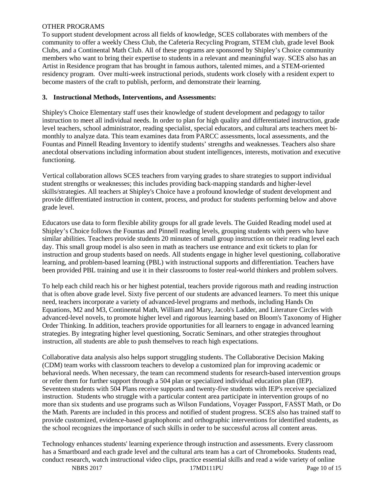#### OTHER PROGRAMS

To support student development across all fields of knowledge, SCES collaborates with members of the community to offer a weekly Chess Club, the Cafeteria Recycling Program, STEM club, grade level Book Clubs, and a Continental Math Club. All of these programs are sponsored by Shipley's Choice community members who want to bring their expertise to students in a relevant and meaningful way. SCES also has an Artist in Residence program that has brought in famous authors, talented mimes, and a STEM-oriented residency program. Over multi-week instructional periods, students work closely with a resident expert to become masters of the craft to publish, perform, and demonstrate their learning.

#### **3. Instructional Methods, Interventions, and Assessments:**

Shipley's Choice Elementary staff uses their knowledge of student development and pedagogy to tailor instruction to meet all individual needs. In order to plan for high quality and differentiated instruction, grade level teachers, school administrator, reading specialist, special educators, and cultural arts teachers meet bimonthly to analyze data. This team examines data from PARCC assessments, local assessments, and the Fountas and Pinnell Reading Inventory to identify students' strengths and weaknesses. Teachers also share anecdotal observations including information about student intelligences, interests, motivation and executive functioning.

Vertical collaboration allows SCES teachers from varying grades to share strategies to support individual student strengths or weaknesses; this includes providing back-mapping standards and higher-level skills/strategies. All teachers at Shipley's Choice have a profound knowledge of student development and provide differentiated instruction in content, process, and product for students performing below and above grade level.

Educators use data to form flexible ability groups for all grade levels. The Guided Reading model used at Shipley's Choice follows the Fountas and Pinnell reading levels, grouping students with peers who have similar abilities. Teachers provide students 20 minutes of small group instruction on their reading level each day. This small group model is also seen in math as teachers use entrance and exit tickets to plan for instruction and group students based on needs. All students engage in higher level questioning, collaborative learning, and problem-based learning (PBL) with instructional supports and differentiation. Teachers have been provided PBL training and use it in their classrooms to foster real-world thinkers and problem solvers.

To help each child reach his or her highest potential, teachers provide rigorous math and reading instruction that is often above grade level. Sixty five percent of our students are advanced learners. To meet this unique need, teachers incorporate a variety of advanced-level programs and methods, including Hands On Equations, M2 and M3, Continental Math, William and Mary, Jacob's Ladder, and Literature Circles with advanced-level novels, to promote higher level and rigorous learning based on Bloom's Taxonomy of Higher Order Thinking. In addition, teachers provide opportunities for all learners to engage in advanced learning strategies. By integrating higher level questioning, Socratic Seminars, and other strategies throughout instruction, all students are able to push themselves to reach high expectations.

Collaborative data analysis also helps support struggling students. The Collaborative Decision Making (CDM) team works with classroom teachers to develop a customized plan for improving academic or behavioral needs. When necessary, the team can recommend students for research-based intervention groups or refer them for further support through a 504 plan or specialized individual education plan (IEP). Seventeen students with 504 Plans receive supports and twenty-five students with IEP's receive specialized instruction. Students who struggle with a particular content area participate in intervention groups of no more than six students and use programs such as Wilson Fundations, Voyager Passport, FASST Math, or Do the Math. Parents are included in this process and notified of student progress. SCES also has trained staff to provide customized, evidence-based graphophonic and orthographic interventions for identified students, as the school recognizes the importance of such skills in order to be successful across all content areas.

Technology enhances students' learning experience through instruction and assessments. Every classroom has a Smartboard and each grade level and the cultural arts team has a cart of Chromebooks. Students read, conduct research, watch instructional video clips, practice essential skills and read a wide variety of online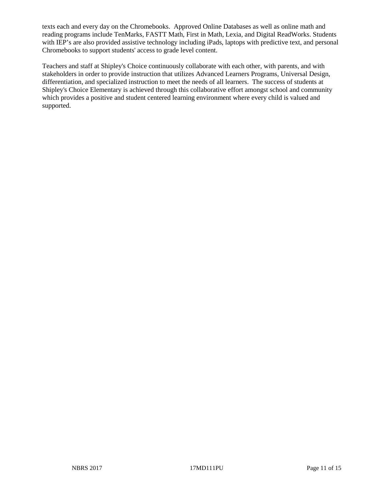texts each and every day on the Chromebooks. Approved Online Databases as well as online math and reading programs include TenMarks, FASTT Math, First in Math, Lexia, and Digital ReadWorks. Students with IEP's are also provided assistive technology including iPads, laptops with predictive text, and personal Chromebooks to support students' access to grade level content.

Teachers and staff at Shipley's Choice continuously collaborate with each other, with parents, and with stakeholders in order to provide instruction that utilizes Advanced Learners Programs, Universal Design, differentiation, and specialized instruction to meet the needs of all learners. The success of students at Shipley's Choice Elementary is achieved through this collaborative effort amongst school and community which provides a positive and student centered learning environment where every child is valued and supported.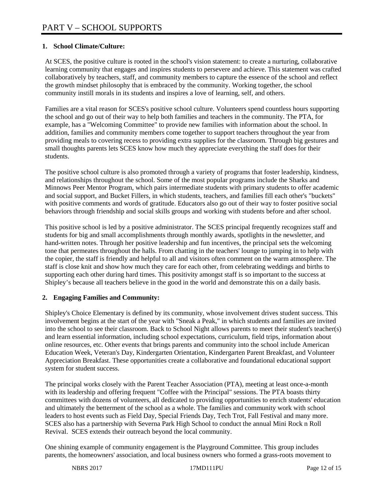# **1. School Climate/Culture:**

At SCES, the positive culture is rooted in the school's vision statement: to create a nurturing, collaborative learning community that engages and inspires students to persevere and achieve. This statement was crafted collaboratively by teachers, staff, and community members to capture the essence of the school and reflect the growth mindset philosophy that is embraced by the community. Working together, the school community instill morals in its students and inspires a love of learning, self, and others.

Families are a vital reason for SCES's positive school culture. Volunteers spend countless hours supporting the school and go out of their way to help both families and teachers in the community. The PTA, for example, has a "Welcoming Committee" to provide new families with information about the school. In addition, families and community members come together to support teachers throughout the year from providing meals to covering recess to providing extra supplies for the classroom. Through big gestures and small thoughts parents lets SCES know how much they appreciate everything the staff does for their students.

The positive school culture is also promoted through a variety of programs that foster leadership, kindness, and relationships throughout the school. Some of the most popular programs include the Sharks and Minnows Peer Mentor Program, which pairs intermediate students with primary students to offer academic and social support, and Bucket Fillers, in which students, teachers, and families fill each other's "buckets" with positive comments and words of gratitude. Educators also go out of their way to foster positive social behaviors through friendship and social skills groups and working with students before and after school.

This positive school is led by a positive administrator. The SCES principal frequently recognizes staff and students for big and small accomplishments through monthly awards, spotlights in the newsletter, and hand-written notes. Through her positive leadership and fun incentives, the principal sets the welcoming tone that permeates throughout the halls. From chatting in the teachers' lounge to jumping in to help with the copier, the staff is friendly and helpful to all and visitors often comment on the warm atmosphere. The staff is close knit and show how much they care for each other, from celebrating weddings and births to supporting each other during hard times. This positivity amongst staff is so important to the success at Shipley's because all teachers believe in the good in the world and demonstrate this on a daily basis.

# **2. Engaging Families and Community:**

Shipley's Choice Elementary is defined by its community, whose involvement drives student success. This involvement begins at the start of the year with "Sneak a Peak," in which students and families are invited into the school to see their classroom. Back to School Night allows parents to meet their student's teacher(s) and learn essential information, including school expectations, curriculum, field trips, information about online resources, etc. Other events that brings parents and community into the school include American Education Week, Veteran's Day, Kindergarten Orientation, Kindergarten Parent Breakfast, and Volunteer Appreciation Breakfast. These opportunities create a collaborative and foundational educational support system for student success.

The principal works closely with the Parent Teacher Association (PTA), meeting at least once-a-month with its leadership and offering frequent "Coffee with the Principal" sessions. The PTA boasts thirty committees with dozens of volunteers, all dedicated to providing opportunities to enrich students' education and ultimately the betterment of the school as a whole. The families and community work with school leaders to host events such as Field Day, Special Friends Day, Tech Trot, Fall Festival and many more. SCES also has a partnership with Severna Park High School to conduct the annual Mini Rock n Roll Revival. SCES extends their outreach beyond the local community.

One shining example of community engagement is the Playground Committee. This group includes parents, the homeowners' association, and local business owners who formed a grass-roots movement to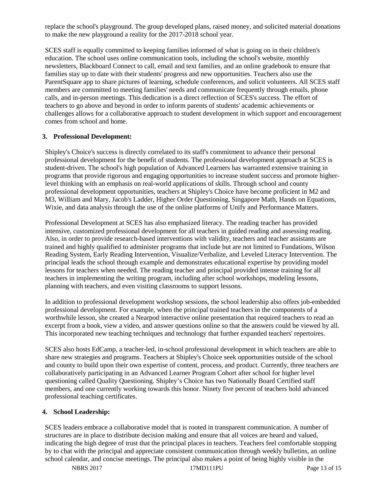replace the school's playground. The group developed plans, raised money, and solicited material donations to make the new playground a reality for the 2017-2018 school year.

SCES staff is equally committed to keeping families informed of what is going on in their children's education. The school uses online communication tools, including the school's website, monthly newsletters, Blackboard Connect to call, email and text families, and an online gradebook to ensure that families stay up to date with their students' progress and new opportunities. Teachers also use the ParentSquare app to share pictures of learning, schedule conferences, and solicit volunteers. All SCES staff members are committed to meeting families' needs and communicate frequently through emails, phone calls, and in-person meetings. This dedication is a direct reflection of SCES's success. The effort of teachers to go above and beyond in order to inform parents of students' academic achievements or challenges allows for a collaborative approach to student development in which support and encouragement comes from school and home.

## **3. Professional Development:**

Shipley's Choice's success is directly correlated to its staff's commitment to advance their personal professional development for the benefit of students. The professional development approach at SCES is student-driven. The school's high population of Advanced Learners has warranted extensive training in programs that provide rigorous and engaging opportunities to increase student success and promote higherlevel thinking with an emphasis on real-world applications of skills. Through school and county professional development opportunities, teachers at Shipley's Choice have become proficient in M2 and M3, William and Mary, Jacob's Ladder, Higher Order Questioning, Singapore Math, Hands on Equations, Wixie, and data analysis through the use of the online platforms of Unify and Performance Matters.

Professional Development at SCES has also emphasized literacy. The reading teacher has provided intensive, customized professional development for all teachers in guided reading and assessing reading. Also, in order to provide research-based interventions with validity, teachers and teacher assistants are trained and highly qualified to administer programs that include but are not limited to Fundations, Wilson Reading System, Early Reading Intervention, Visualize/Verbalize, and Leveled Literacy Intervention. The principal leads the school through example and demonstrates educational expertise by providing model lessons for teachers when needed. The reading teacher and principal provided intense training for all teachers in implementing the writing program, including after school workshops, modeling lessons, planning with teachers, and even visiting classrooms to support lessons.

In addition to professional development workshop sessions, the school leadership also offers job-embedded professional development. For example, when the principal trained teachers in the components of a worthwhile lesson, she created a Nearpod interactive online presentation that required teachers to read an excerpt from a book, view a video, and answer questions online so that the answers could be viewed by all. This incorporated new teaching techniques and technology that further expanded teachers' repertoires.

SCES also hosts EdCamp, a teacher-led, in-school professional development in which teachers are able to share new strategies and programs. Teachers at Shipley's Choice seek opportunities outside of the school and county to build upon their own expertise of content, process, and product. Currently, three teachers are collaboratively participating in an Advanced Learner Program Cohort after school for higher level questioning called Quality Questioning. Shipley's Choice has two Nationally Board Certified staff members, and one currently working towards this honor. Ninety five percent of teachers hold advanced professional teaching certificates.

## **4. School Leadership:**

SCES leaders embrace a collaborative model that is rooted in transparent communication. A number of structures are in place to distribute decision making and ensure that all voices are heard and valued, indicating the high degree of trust that the principal places in teachers. Teachers feel comfortable stopping by to chat with the principal and appreciate consistent communication through weekly bulletins, an online school calendar, and concise meetings. The principal also makes a point of being highly visible in the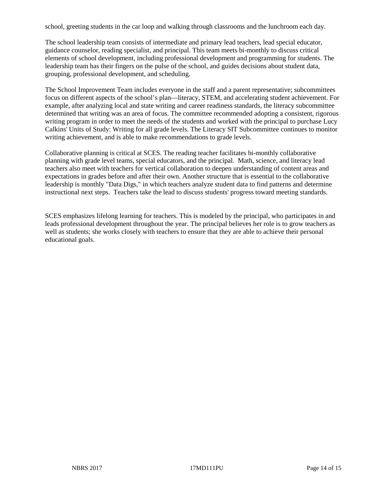school, greeting students in the car loop and walking through classrooms and the lunchroom each day.

The school leadership team consists of intermediate and primary lead teachers, lead special educator, guidance counselor, reading specialist, and principal. This team meets bi-monthly to discuss critical elements of school development, including professional development and programming for students. The leadership team has their fingers on the pulse of the school, and guides decisions about student data, grouping, professional development, and scheduling.

The School Improvement Team includes everyone in the staff and a parent representative; subcommittees focus on different aspects of the school's plan—literacy, STEM, and accelerating student achievement. For example, after analyzing local and state writing and career readiness standards, the literacy subcommittee determined that writing was an area of focus. The committee recommended adopting a consistent, rigorous writing program in order to meet the needs of the students and worked with the principal to purchase Lucy Calkins' Units of Study: Writing for all grade levels. The Literacy SIT Subcommittee continues to monitor writing achievement, and is able to make recommendations to grade levels.

Collaborative planning is critical at SCES. The reading teacher facilitates bi-monthly collaborative planning with grade level teams, special educators, and the principal. Math, science, and literacy lead teachers also meet with teachers for vertical collaboration to deepen understanding of content areas and expectations in grades before and after their own. Another structure that is essential to the collaborative leadership is monthly "Data Digs," in which teachers analyze student data to find patterns and determine instructional next steps. Teachers take the lead to discuss students' progress toward meeting standards.

SCES emphasizes lifelong learning for teachers. This is modeled by the principal, who participates in and leads professional development throughout the year. The principal believes her role is to grow teachers as well as students; she works closely with teachers to ensure that they are able to achieve their personal educational goals.